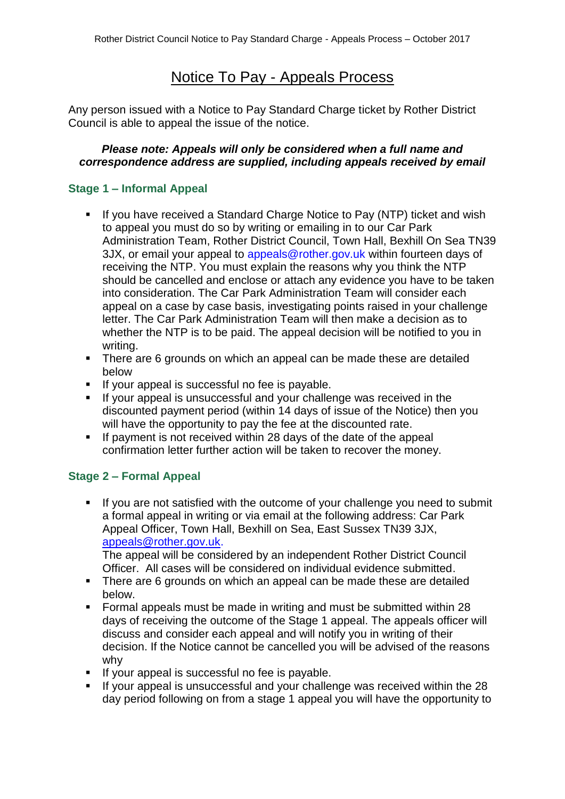# Notice To Pay - Appeals Process

Any person issued with a Notice to Pay Standard Charge ticket by Rother District Council is able to appeal the issue of the notice.

### *Please note: Appeals will only be considered when a full name and correspondence address are supplied, including appeals received by email*

## **Stage 1 – Informal Appeal**

- If you have received a Standard Charge Notice to Pay (NTP) ticket and wish to appeal you must do so by writing or emailing in to our Car Park Administration Team, Rother District Council, Town Hall, Bexhill On Sea TN39 3JX, or email your appeal to appeals@rother.gov.uk within fourteen days of receiving the NTP. You must explain the reasons why you think the NTP should be cancelled and enclose or attach any evidence you have to be taken into consideration. The Car Park Administration Team will consider each appeal on a case by case basis, investigating points raised in your challenge letter. The Car Park Administration Team will then make a decision as to whether the NTP is to be paid. The appeal decision will be notified to you in writing.
- There are 6 grounds on which an appeal can be made these are detailed below
- If your appeal is successful no fee is payable.
- If your appeal is unsuccessful and your challenge was received in the discounted payment period (within 14 days of issue of the Notice) then you will have the opportunity to pay the fee at the discounted rate.
- If payment is not received within 28 days of the date of the appeal confirmation letter further action will be taken to recover the money.

## **Stage 2 – Formal Appeal**

If you are not satisfied with the outcome of your challenge you need to submit a formal appeal in writing or via email at the following address: Car Park Appeal Officer, Town Hall, Bexhill on Sea, East Sussex TN39 3JX, [appeals@rother.gov.uk.](mailto:appeals@rother.gov.uk)

The appeal will be considered by an independent Rother District Council Officer. All cases will be considered on individual evidence submitted.

- There are 6 grounds on which an appeal can be made these are detailed below.
- Formal appeals must be made in writing and must be submitted within 28 days of receiving the outcome of the Stage 1 appeal. The appeals officer will discuss and consider each appeal and will notify you in writing of their decision. If the Notice cannot be cancelled you will be advised of the reasons why
- If your appeal is successful no fee is payable.
- If your appeal is unsuccessful and your challenge was received within the 28 day period following on from a stage 1 appeal you will have the opportunity to